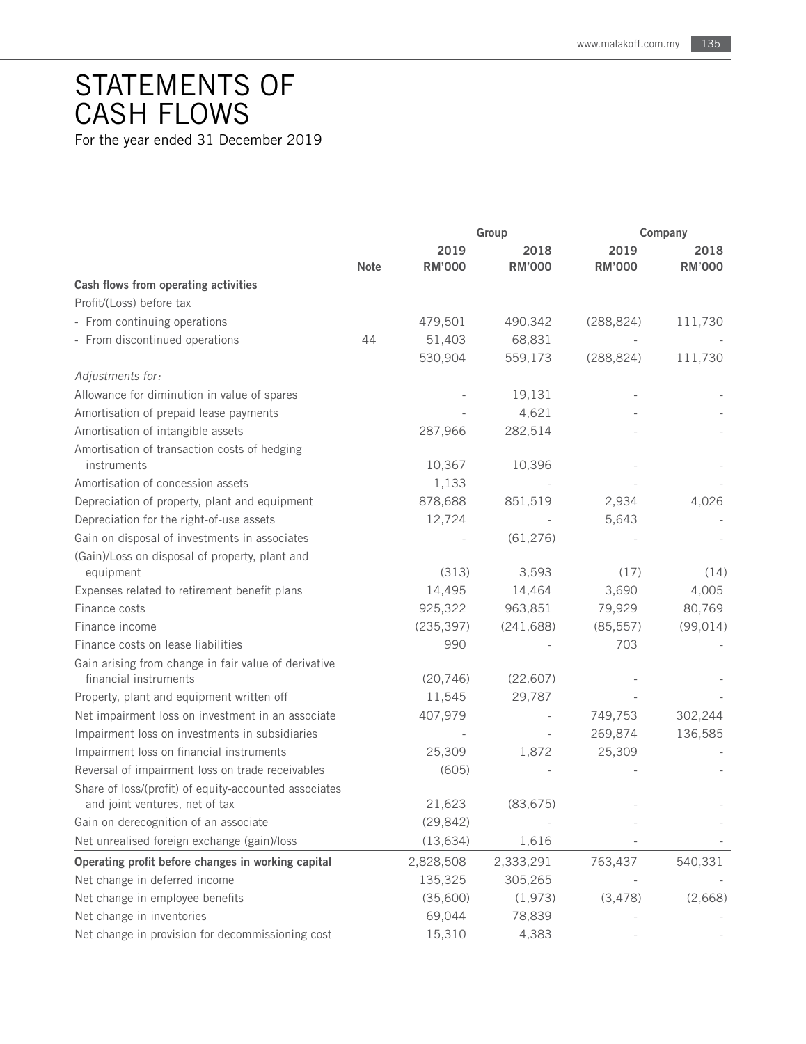## STATEMENTS OF CASH FLOWS

For the year ended 31 December 2019

|                                                                               |             | Group                 |                       | Company               |                       |
|-------------------------------------------------------------------------------|-------------|-----------------------|-----------------------|-----------------------|-----------------------|
|                                                                               | <b>Note</b> | 2019<br><b>RM'000</b> | 2018<br><b>RM'000</b> | 2019<br><b>RM'000</b> | 2018<br><b>RM'000</b> |
| Cash flows from operating activities                                          |             |                       |                       |                       |                       |
| Profit/(Loss) before tax                                                      |             |                       |                       |                       |                       |
| - From continuing operations                                                  |             | 479,501               | 490,342               | (288, 824)            | 111,730               |
| - From discontinued operations                                                | 44          | 51,403                | 68,831                |                       |                       |
|                                                                               |             | 530,904               | 559,173               | (288, 824)            | 111,730               |
| Adjustments for:                                                              |             |                       |                       |                       |                       |
| Allowance for diminution in value of spares                                   |             |                       | 19,131                |                       |                       |
| Amortisation of prepaid lease payments                                        |             |                       | 4,621                 |                       |                       |
| Amortisation of intangible assets                                             |             | 287,966               | 282,514               |                       |                       |
| Amortisation of transaction costs of hedging                                  |             |                       |                       |                       |                       |
| instruments                                                                   |             | 10,367                | 10,396                |                       |                       |
| Amortisation of concession assets                                             |             | 1,133                 |                       |                       |                       |
| Depreciation of property, plant and equipment                                 |             | 878,688               | 851,519               | 2,934                 | 4,026                 |
| Depreciation for the right-of-use assets                                      |             | 12,724                |                       | 5,643                 |                       |
| Gain on disposal of investments in associates                                 |             |                       | (61, 276)             |                       |                       |
| (Gain)/Loss on disposal of property, plant and<br>equipment                   |             | (313)                 | 3,593                 | (17)                  | (14)                  |
| Expenses related to retirement benefit plans                                  |             | 14,495                | 14,464                | 3,690                 | 4,005                 |
| Finance costs                                                                 |             | 925,322               | 963,851               | 79,929                | 80,769                |
| Finance income                                                                |             | (235, 397)            | (241, 688)            | (85, 557)             | (99, 014)             |
| Finance costs on lease liabilities                                            |             | 990                   |                       | 703                   |                       |
| Gain arising from change in fair value of derivative<br>financial instruments |             | (20, 746)             | (22, 607)             |                       |                       |
| Property, plant and equipment written off                                     |             | 11,545                | 29,787                |                       |                       |
| Net impairment loss on investment in an associate                             |             | 407,979               |                       | 749,753               | 302,244               |
| Impairment loss on investments in subsidiaries                                |             |                       |                       | 269,874               | 136,585               |
| Impairment loss on financial instruments                                      |             | 25,309                | 1,872                 | 25,309                |                       |
| Reversal of impairment loss on trade receivables                              |             | (605)                 |                       |                       |                       |
| Share of loss/(profit) of equity-accounted associates                         |             |                       |                       |                       |                       |
| and joint ventures, net of tax                                                |             | 21,623                | (83, 675)             |                       |                       |
| Gain on derecognition of an associate                                         |             | (29, 842)             |                       |                       |                       |
| Net unrealised foreign exchange (gain)/loss                                   |             | (13, 634)             | 1,616                 |                       |                       |
| Operating profit before changes in working capital                            |             | 2,828,508             | 2,333,291             | 763,437               | 540,331               |
| Net change in deferred income                                                 |             | 135,325               | 305,265               |                       |                       |
| Net change in employee benefits                                               |             | (35,600)              | (1,973)               | (3, 478)              | (2,668)               |
| Net change in inventories                                                     |             | 69,044                | 78,839                |                       |                       |
| Net change in provision for decommissioning cost                              |             | 15,310                | 4,383                 |                       |                       |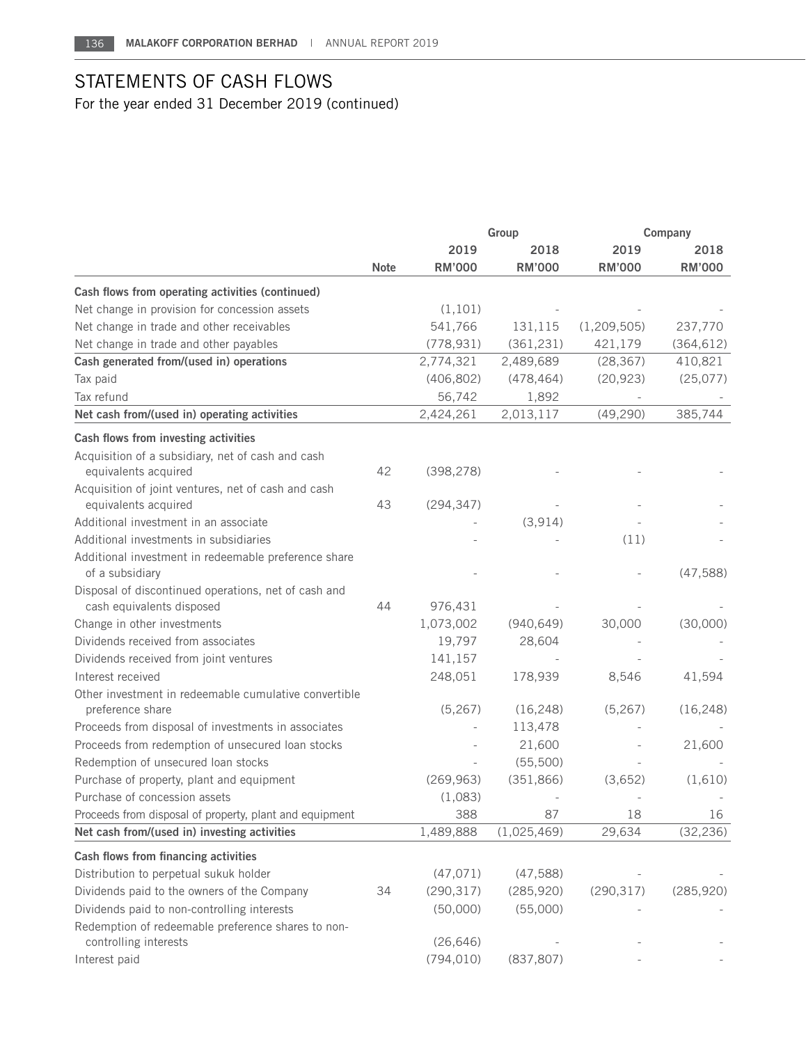## STATEMENTS OF CASH FLOWS For the year ended 31 December 2019 (continued)

|                                                                         |             | Group         |               | Company       |               |
|-------------------------------------------------------------------------|-------------|---------------|---------------|---------------|---------------|
|                                                                         | <b>Note</b> | 2019          | 2018          | 2019          | 2018          |
|                                                                         |             | <b>RM'000</b> | <b>RM'000</b> | <b>RM'000</b> | <b>RM'000</b> |
| Cash flows from operating activities (continued)                        |             |               |               |               |               |
| Net change in provision for concession assets                           |             | (1, 101)      |               |               |               |
| Net change in trade and other receivables                               |             | 541,766       | 131,115       | (1, 209, 505) | 237,770       |
| Net change in trade and other payables                                  |             | (778, 931)    | (361, 231)    | 421,179       | (364, 612)    |
| Cash generated from/(used in) operations                                |             | 2,774,321     | 2,489,689     | (28, 367)     | 410,821       |
| Tax paid                                                                |             | (406, 802)    | (478, 464)    | (20, 923)     | (25,077)      |
| Tax refund                                                              |             | 56,742        | 1,892         |               |               |
| Net cash from/(used in) operating activities                            |             | 2,424,261     | 2,013,117     | (49, 290)     | 385,744       |
| Cash flows from investing activities                                    |             |               |               |               |               |
| Acquisition of a subsidiary, net of cash and cash                       |             |               |               |               |               |
| equivalents acquired                                                    | 42          | (398, 278)    |               |               |               |
| Acquisition of joint ventures, net of cash and cash                     |             |               |               |               |               |
| equivalents acquired                                                    | 43          | (294, 347)    |               |               |               |
| Additional investment in an associate                                   |             |               | (3, 914)      |               |               |
| Additional investments in subsidiaries                                  |             |               |               | (11)          |               |
| Additional investment in redeemable preference share<br>of a subsidiary |             |               |               |               | (47, 588)     |
| Disposal of discontinued operations, net of cash and                    |             |               |               |               |               |
| cash equivalents disposed                                               | 44          | 976,431       |               |               |               |
| Change in other investments                                             |             | 1,073,002     | (940, 649)    | 30,000        | (30,000)      |
| Dividends received from associates                                      |             | 19,797        | 28,604        |               |               |
| Dividends received from joint ventures                                  |             | 141,157       |               |               |               |
| Interest received                                                       |             | 248,051       | 178,939       | 8,546         | 41,594        |
| Other investment in redeemable cumulative convertible                   |             |               |               |               |               |
| preference share                                                        |             | (5,267)       | (16, 248)     | (5,267)       | (16, 248)     |
| Proceeds from disposal of investments in associates                     |             |               | 113,478       |               |               |
| Proceeds from redemption of unsecured loan stocks                       |             |               | 21,600        |               | 21,600        |
| Redemption of unsecured loan stocks                                     |             |               | (55,500)      |               |               |
| Purchase of property, plant and equipment                               |             | (269, 963)    | (351, 866)    | (3,652)       | (1,610)       |
| Purchase of concession assets                                           |             | (1,083)       |               |               |               |
| Proceeds from disposal of property, plant and equipment                 |             | 388           | 87            | 18            | 16            |
| Net cash from/(used in) investing activities                            |             | 1,489,888     | (1,025,469)   | 29,634        | (32, 236)     |
| Cash flows from financing activities                                    |             |               |               |               |               |
| Distribution to perpetual sukuk holder                                  |             | (47, 071)     | (47, 588)     |               |               |
| Dividends paid to the owners of the Company                             | 34          | (290, 317)    | (285, 920)    | (290, 317)    | (285, 920)    |
| Dividends paid to non-controlling interests                             |             | (50,000)      | (55,000)      |               |               |
| Redemption of redeemable preference shares to non-                      |             |               |               |               |               |
| controlling interests                                                   |             | (26, 646)     |               |               |               |
| Interest paid                                                           |             | (794, 010)    | (837, 807)    |               |               |